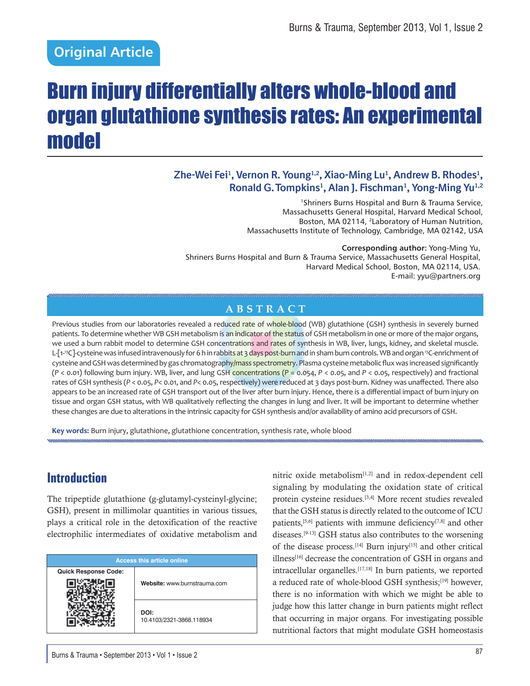## **Original Article**

# Burn injury differentially alters whole-blood and organ glutathione synthesis rates: An experimental model

#### Zhe-Wei Fei<sup>1</sup>, Vernon R. Young<sup>1,2</sup>, Xiao-Ming Lu<sup>1</sup>, Andrew B. Rhodes<sup>1</sup>, **Ronald G. Tompkins1 , Alan J. Fischman1 , Yong-Ming Yu1,2**

1Shriners Burns Hospital and Burn & Trauma Service, Massachusetts General Hospital, Harvard Medical School, Boston, MA 02114, 2Laboratory of Human Nutrition, Massachusetts Institute of Technology, Cambridge, MA 02142, USA

**Corresponding author:** Yong-Ming Yu, Shriners Burns Hospital and Burn & Trauma Service, Massachusetts General Hospital, Harvard Medical School, Boston, MA 02114, USA. E-mail: yyu@partners.org

#### **ABSTRACT**

Previous studies from our laboratories revealed a reduced rate of whole-blood (WB) glutathione (GSH) synthesis in severely burned patients. To determine whether WB GSH metabolism is an indicator of the status of GSH metabolism in one or more of the major organs, we used a burn rabbit model to determine GSH concentrations and rates of synthesis in WB, liver, lungs, kidney, and skeletal muscle. L-[1-<sup>13</sup>C]-cysteine was infused intravenously for 6 h in rabbits at 3 days post-burn and in sham burn controls. WB and organ <sup>13</sup>C-enrichment of cysteine and GSH was determined by gas chromatography/mass spectrometry. Plasma cysteine metabolic flux was increased significantly (*P* < 0.01) following burn injury. WB, liver, and lung GSH concentrations (*P* = 0.054, *P* < 0.05, and *P* < 0.05, respectively) and fractional rates of GSH synthesis (P < 0.05, P< 0.01, and P< 0.05, respectively) were reduced at 3 days post-burn. Kidney was unaffected. There also appears to be an increased rate of GSH transport out of the liver after burn injury. Hence, there is a differential impact of burn injury on tissue and organ GSH status, with WB qualitatively reflecting the changes in lung and liver. It will be important to determine whether these changes are due to alterations in the intrinsic capacity for GSH synthesis and/or availability of amino acid precursors of GSH.

**Key words:** Burn injury, glutathione, glutathione concentration, synthesis rate, whole blood

## **Introduction**

The tripeptide glutathione (g-glutamyl-cysteinyl-glycine; GSH), present in millimolar quantities in various tissues, plays a critical role in the detoxification of the reactive electrophilic intermediates of oxidative metabolism and

| <b>Access this article online</b> |                                  |  |  |
|-----------------------------------|----------------------------------|--|--|
| <b>Quick Response Code:</b>       | Website: www.burnstrauma.com     |  |  |
|                                   | DOI:<br>10.4103/2321-3868.118934 |  |  |

nitric oxide metabolism $[1,2]$  and in redox-dependent cell signaling by modulating the oxidation state of critical protein cysteine residues.[3,4] More recent studies revealed that the GSH status is directly related to the outcome of ICU patients,  $[5,6]$  patients with immune deficiency $[7,8]$  and other diseases.[9-13] GSH status also contributes to the worsening of the disease process.[14] Burn injury[15] and other critical  $\mu$ illness<sup>[16]</sup> decrease the concentration of GSH in organs and intracellular organelles. [17,18] In burn patients, we reported a reduced rate of whole-blood GSH synthesis;<sup>[19]</sup> however, there is no information with which we might be able to judge how this latter change in burn patients might reflect that occurring in major organs. For investigating possible nutritional factors that might modulate GSH homeostasis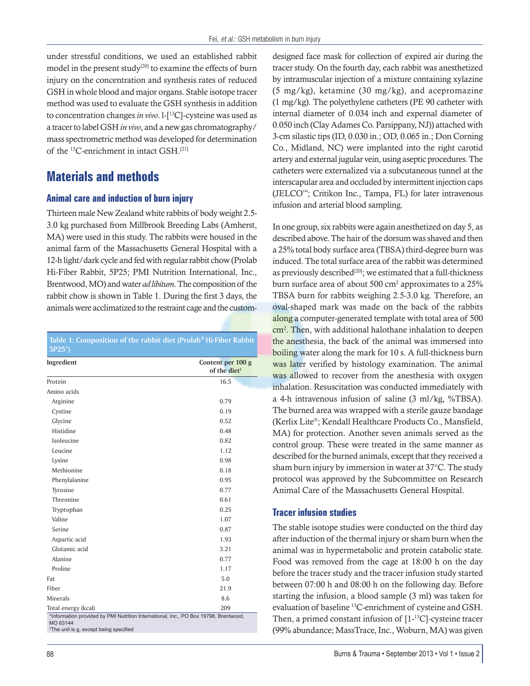under stressful conditions, we used an established rabbit model in the present study<sup>[20]</sup> to examine the effects of burn injury on the concentration and synthesis rates of reduced GSH in whole blood and major organs. Stable isotope tracer method was used to evaluate the GSH synthesis in addition to concentration changes *in vivo*. l-[13C]-cysteine was used as a tracer to label GSH *in vivo*, and a new gas chromatography/ mass spectrometric method was developed for determination of the 13C-enrichment in intact GSH.[21]

## **Materials and methods**

#### **Animal care and induction of burn injury**

Thirteen male New Zealand white rabbits of body weight 2.5- 3.0 kg purchased from Millbrook Breeding Labs (Amherst, MA) were used in this study. The rabbits were housed in the animal farm of the Massachusetts General Hospital with a 12-h light/dark cycle and fed with regular rabbit chow (Prolab Hi-Fiber Rabbit, 5P25; PMI Nutrition International, Inc., Brentwood, MO) and water *ad libitum*. The composition of the rabbit chow is shown in Table 1. During the first 3 days, the animals were acclimatized to the restraint cage and the custom-

**Table 1: Composition of the rabbit diet (Prolab® Hi-Fiber Rabbit 5P25\*)** 

| Ingredient                                                                                       | Content per 100 g<br>of the diet <sup>†</sup> |
|--------------------------------------------------------------------------------------------------|-----------------------------------------------|
| Protein                                                                                          | 16.5                                          |
| Amino acids                                                                                      |                                               |
| Arginine                                                                                         | 0.79                                          |
| Cystine                                                                                          | 0.19                                          |
| Glycine                                                                                          | 0.52                                          |
| Histidine                                                                                        | 0.48                                          |
| Isoleucine                                                                                       | 0.82                                          |
| Leucine                                                                                          | 1.12                                          |
| Lysine                                                                                           | 0.98                                          |
| Methionine                                                                                       | 0.18                                          |
| Phenylalanine                                                                                    | 0.95                                          |
| Tyrosine                                                                                         | 0.77                                          |
| Threonine                                                                                        | 0.61                                          |
| Tryptophan                                                                                       | 0.25                                          |
| Valine                                                                                           | 1.07                                          |
| Serine                                                                                           | 0.87                                          |
| Aspartic acid                                                                                    | 1.93                                          |
| Glutamic acid                                                                                    | 3.21                                          |
| Alanine                                                                                          | 0.77                                          |
| Proline                                                                                          | 1.17                                          |
| Fat                                                                                              | 5.0                                           |
| Fiber                                                                                            | 21.9                                          |
| Minerals                                                                                         | 8.6                                           |
| 209<br>Total energy (kcal)                                                                       |                                               |
| *Information provided by PMI Nutrition International, Inc., PO Box 19798, Brentwood,<br>MO 63144 |                                               |

<sup>†</sup>The unit is g, except being specified

designed face mask for collection of expired air during the tracer study. On the fourth day, each rabbit was anesthetized by intramuscular injection of a mixture containing xylazine (5 mg/kg), ketamine (30 mg/kg), and acepromazine (1 mg/kg). The polyethylene catheters (PE 90 catheter with internal diameter of 0.034 inch and expernal diameter of 0.050 inch (Clay Adames Co. Parsippany, NJ)) attached with 3-cm silastic tips (ID, 0.030 in.; OD, 0.065 in.; Don Corning Co., Midland, NC) were implanted into the right carotid artery and external jugular vein, using aseptic procedures. The catheters were externalized via a subcutaneous tunnel at the interscapular area and occluded by intermittent injection caps (JELCO™; Critikon Inc., Tampa, FL) for later intravenous infusion and arterial blood sampling.

In one group, six rabbits were again anesthetized on day 5, as described above. The hair of the dorsum was shaved and then a 25% total body surface area (TBSA) third-degree burn was induced. The total surface area of the rabbit was determined as previously described<sup>[20]</sup>; we estimated that a full-thickness burn surface area of about 500 cm<sup>2</sup> approximates to a 25% TBSA burn for rabbits weighing 2.5-3.0 kg. Therefore, an oval-shaped mark was made on the back of the rabbits along a computer-generated template with total area of 500 cm<sup>2</sup>. Then, with additional halothane inhalation to deepen the anesthesia, the back of the animal was immersed into boiling water along the mark for 10 s. A full-thickness burn was later verified by histology examination. The animal was allowed to recover from the anesthesia with oxygen inhalation. Resuscitation was conducted immediately with a 4-h intravenous infusion of saline (3 ml/kg, %TBSA). The burned area was wrapped with a sterile gauze bandage (Kerlix Lite®; Kendall Healthcare Products Co., Mansfield, MA) for protection. Another seven animals served as the control group. These were treated in the same manner as described for the burned animals, except that they received a sham burn injury by immersion in water at 37°C. The study protocol was approved by the Subcommittee on Research Animal Care of the Massachusetts General Hospital.

#### **Tracer infusion studies**

The stable isotope studies were conducted on the third day after induction of the thermal injury or sham burn when the animal was in hypermetabolic and protein catabolic state. Food was removed from the cage at 18:00 h on the day before the tracer study and the tracer infusion study started between 07:00 h and 08:00 h on the following day. Before starting the infusion, a blood sample (3 ml) was taken for evaluation of baseline 13C-enrichment of cysteine and GSH. Then, a primed constant infusion of [1-13C]-cysteine tracer (99% abundance; MassTrace, Inc., Woburn, MA) was given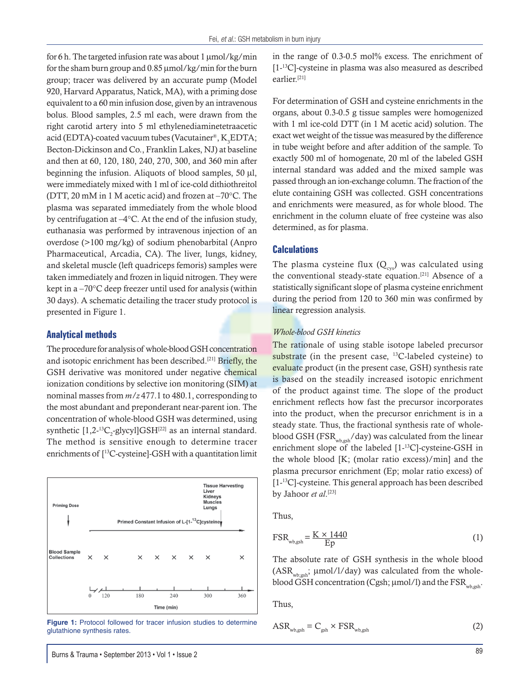for 6 h. The targeted infusion rate was about  $1 \mu$ mol/kg/min for the sham burn group and  $0.85 \mu$  mol/kg/min for the burn group; tracer was delivered by an accurate pump (Model 920, Harvard Apparatus, Natick, MA), with a priming dose equivalent to a 60 min infusion dose, given by an intravenous bolus. Blood samples, 2.5 ml each, were drawn from the right carotid artery into 5 ml ethylenediaminetetraacetic acid (EDTA)-coated vacuum tubes (Vacutainer®, K<sub>3</sub>EDTA; Becton-Dickinson and Co., Franklin Lakes, NJ) at baseline and then at 60, 120, 180, 240, 270, 300, and 360 min after beginning the infusion. Aliquots of blood samples,  $50 \mu l$ , were immediately mixed with 1 ml of ice-cold dithiothreitol (DTT, 20 mM in 1 M acetic acid) and frozen at –70°C. The plasma was separated immediately from the whole blood by centrifugation at –4°C. At the end of the infusion study, euthanasia was performed by intravenous injection of an overdose (>100 mg/kg) of sodium phenobarbital (Anpro Pharmaceutical, Arcadia, CA). The liver, lungs, kidney, and skeletal muscle (left quadriceps femoris) samples were taken immediately and frozen in liquid nitrogen. They were kept in a –70°C deep freezer until used for analysis (within 30 days). A schematic detailing the tracer study protocol is presented in Figure 1.

#### **Analytical methods**

The procedure for analysis of whole-blood GSH concentration and isotopic enrichment has been described.[21] Briefly, the GSH derivative was monitored under negative chemical ionization conditions by selective ion monitoring (SIM) at nominal masses from *m/z* 477.1 to 480.1, corresponding to the most abundant and preponderant near-parent ion. The concentration of whole-blood GSH was determined, using synthetic  $[1,2^{-13}C_2$ -glycyl]GSH<sup>[22]</sup> as an internal standard. The method is sensitive enough to determine tracer enrichments of [13C-cysteine]-GSH with a quantitation limit



Figure 1: Protocol followed for tracer infusion studies to determine glutathione synthesis rates.

in the range of 0.3-0.5 mol% excess. The enrichment of [1-<sup>13</sup>C]-cysteine in plasma was also measured as described earlier.[21]

For determination of GSH and cysteine enrichments in the organs, about 0.3-0.5 g tissue samples were homogenized with 1 ml ice-cold DTT (in 1 M acetic acid) solution. The exact wet weight of the tissue was measured by the difference in tube weight before and after addition of the sample. To exactly 500 ml of homogenate, 20 ml of the labeled GSH internal standard was added and the mixed sample was passed through an ion-exchange column. The fraction of the elute containing GSH was collected. GSH concentrations and enrichments were measured, as for whole blood. The enrichment in the column eluate of free cysteine was also determined, as for plasma.

#### **Calculations**

The plasma cysteine flux  $(Q_{\text{cys}})$  was calculated using the conventional steady-state equation.<sup>[21]</sup> Absence of a statistically significant slope of plasma cysteine enrichment during the period from 120 to 360 min was confirmed by linear regression analysis.

#### *Whole-blood GSH kinetics*

The rationale of using stable isotope labeled precursor substrate (in the present case, <sup>13</sup>C-labeled cysteine) to evaluate product (in the present case, GSH) synthesis rate is based on the steadily increased isotopic enrichment of the product against time. The slope of the product enrichment reflects how fast the precursor incorporates into the product, when the precursor enrichment is in a steady state. Thus, the fractional synthesis rate of wholeblood GSH (FSR<sub>wb,gsh</sub>/day) was calculated from the linear enrichment slope of the labeled [1-13C]-cysteine-GSH in the whole blood [K; (molar ratio excess)/min] and the plasma precursor enrichment (Ep; molar ratio excess) of [1-<sup>13</sup>C]-cysteine. This general approach has been described by Jahoor *et al*.[23]

Thus,

$$
FSR_{\text{wb,gsh}} = \frac{K \times 1440}{Ep} \tag{1}
$$

The absolute rate of GSH synthesis in the whole blood  $(ASR_{\text{whesh}}; \mu \text{mol}/1/\text{day})$  was calculated from the wholeblood GSH concentration (Cgsh;  $\mu$ mol/l) and the FSR<sub>wb,gsh</sub>.

Thus,

$$
ASR_{\text{wb,gsh}} = C_{\text{gsh}} \times FSR_{\text{wb,gsh}}
$$
 (2)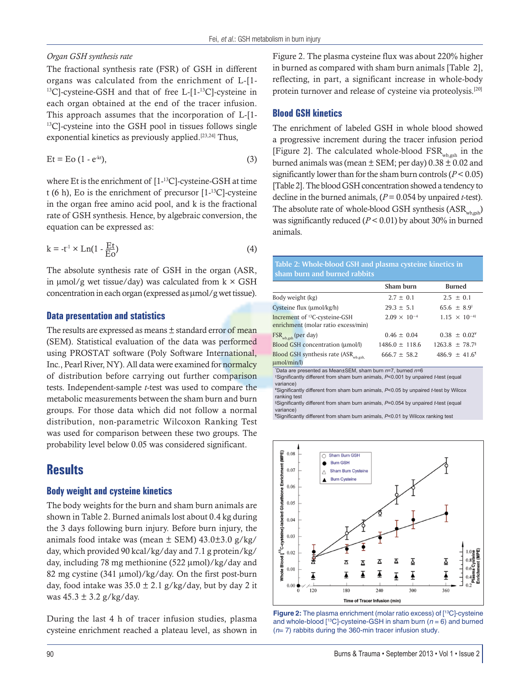#### *Organ GSH synthesis rate*

The fractional synthesis rate (FSR) of GSH in different organs was calculated from the enrichment of L-[1- 13C]-cysteine-GSH and that of free L-[1-13C]-cysteine in each organ obtained at the end of the tracer infusion. This approach assumes that the incorporation of L-[1- 13C]-cysteine into the GSH pool in tissues follows single exponential kinetics as previously applied.<sup>[23,24]</sup> Thus,

$$
Et = Eo (1 - e-kt),
$$
 (3)

where Et is the enrichment of [1-13C]-cysteine-GSH at time t (6 h), Eo is the enrichment of precursor  $[1<sup>13</sup>C]$ -cysteine in the organ free amino acid pool, and k is the fractional rate of GSH synthesis. Hence, by algebraic conversion, the equation can be expressed as:

$$
k = -t^1 \times Ln(1 - \frac{Et}{E_0})
$$
 (4)

The absolute synthesis rate of GSH in the organ (ASR, in  $\mu$ mol/g wet tissue/day) was calculated from k  $\times$  GSH concentration in each organ (expressed as  $\mu$ mol/g wet tissue).

#### **Data presentation and statistics**

The results are expressed as means ± standard error of mean (SEM). Statistical evaluation of the data was performed using PROSTAT software (Poly Software International, Inc., Pearl River, NY). All data were examined for normalcy of distribution before carrying out further comparison tests. Independent-sample *t*-test was used to compare the metabolic measurements between the sham burn and burn groups. For those data which did not follow a normal distribution, non-parametric Wilcoxon Ranking Test was used for comparison between these two groups. The probability level below 0.05 was considered significant.

### **Results**

#### **Body weight and cysteine kinetics**

The body weights for the burn and sham burn animals are shown in Table 2. Burned animals lost about 0.4 kg during the 3 days following burn injury. Before burn injury, the animals food intake was (mean  $\pm$  SEM) 43.0 $\pm$ 3.0 g/kg/ day, which provided 90 kcal/kg/day and 7.1 g protein/kg/ day, including 78 mg methionine  $(522 \mu \text{mol})/kg/day$  and 82 mg cystine (341 µmol)/kg/day. On the first post-burn day, food intake was  $35.0 \pm 2.1$  g/kg/day, but by day 2 it was  $45.3 \pm 3.2$  g/kg/day.

During the last 4 h of tracer infusion studies, plasma cysteine enrichment reached a plateau level, as shown in Figure 2. The plasma cysteine flux was about 220% higher in burned as compared with sham burn animals [Table 2], reflecting, in part, a significant increase in whole-body protein turnover and release of cysteine via proteolysis.[20]

#### **Blood GSH kinetics**

The enrichment of labeled GSH in whole blood showed a progressive increment during the tracer infusion period [Figure 2]. The calculated whole-blood  $FSR_{w_{b,gsh}}$  in the burned animals was (mean  $\pm$  SEM; per day) 0.38  $\pm$  0.02 and significantly lower than for the sham burn controls (*P* < 0.05) [Table 2]. The blood GSH concentration showed a tendency to decline in the burned animals, (*P* = 0.054 by unpaired *t*-test). The absolute rate of whole-blood GSH synthesis  $(ASR_{wh,orb})$ was significantly reduced (*P* < 0.01) by about 30% in burned animals.

**Table 2: Whole-blood GSH and plasma cysteine kinetics in sham burn and burned rabbits**

|                                                                                  | Sham burn             | <b>Burned</b>                  |
|----------------------------------------------------------------------------------|-----------------------|--------------------------------|
| Body weight (kg)                                                                 | $2.7 \pm 0.1$         | $2.5 \pm 0.1$                  |
| Cysteine flux (umol/kg/h)                                                        | $29.3 \pm 5.1$        | $65.6 \pm 8.9^{\dagger}$       |
| Increment of <sup>13</sup> C-cysteine-GSH<br>enrichment (molar ratio excess/min) | $2.09 \times 10^{-4}$ | $1.15 \times 10^{-4}$          |
| FSR <sub>wb,gsh</sub> (per day)                                                  | $0.46 \pm 0.04$       | $0.38 \pm 0.02^*$              |
| Blood GSH concentration (umol/l)                                                 | $1486.0 \pm 118.6$    | $1263.8 \pm 78.7$ <sup>§</sup> |
| Blood GSH synthesis rate (ASR <sub>wb.gsh.</sub><br>$\mu$ mol/min/l)             | $666.7 \pm 58.2$      | $486.9 \pm 41.6$ <sup>1</sup>  |

\* Data are presented as Mean±SEM, sham burn *n*=7, burned *n*=6

† Signifi cantly different from sham burn animals, *P*<0.001 by unpaired *t*-test (equal variance)

¥ Signifi cantly different from sham burn animals, *P*<0.05 by unpaired *t*-test by Wilcox ranking test

§ Signifi cantly different from sham burn animals, *P*=0.054 by unpaired *t*-test (equal variance)

<sup>1</sup>Significantly different from sham burn animals, P<0.01 by Wilcox ranking test



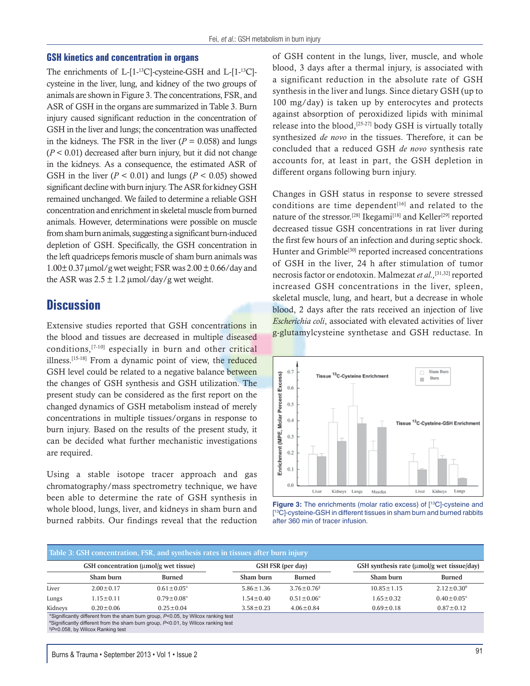#### **GSH kinetics and concentration in organs**

The enrichments of L-[1-13C]-cysteine-GSH and L-[1-13C] cysteine in the liver, lung, and kidney of the two groups of animals are shown in Figure 3. The concentrations, FSR, and ASR of GSH in the organs are summarized in Table 3. Burn injury caused significant reduction in the concentration of GSH in the liver and lungs; the concentration was unaffected in the kidneys. The FSR in the liver  $(P = 0.058)$  and lungs  $(P < 0.01)$  decreased after burn injury, but it did not change in the kidneys. As a consequence, the estimated ASR of GSH in the liver  $(P < 0.01)$  and lungs  $(P < 0.05)$  showed significant decline with burn injury. The ASR for kidney GSH remained unchanged. We failed to determine a reliable GSH concentration and enrichment in skeletal muscle from burned animals. However, determinations were possible on muscle from sham burn animals, suggesting a significant burn-induced depletion of GSH. Specifically, the GSH concentration in the left quadriceps femoris muscle of sham burn animals was  $1.00\pm 0.37$  µmol/g wet weight; FSR was  $2.00\pm 0.66$ /day and the ASR was  $2.5 \pm 1.2 \mu$ mol/day/g wet weight.

## **Discussion**

Extensive studies reported that GSH concentrations in the blood and tissues are decreased in multiple diseased conditions,[7-10] especially in burn and other critical illness.[15-18] From a dynamic point of view, the reduced GSH level could be related to a negative balance between the changes of GSH synthesis and GSH utilization. The present study can be considered as the first report on the changed dynamics of GSH metabolism instead of merely concentrations in multiple tissues/organs in response to burn injury. Based on the results of the present study, it can be decided what further mechanistic investigations are required.

Using a stable isotope tracer approach and gas chromatography/mass spectrometry technique, we have been able to determine the rate of GSH synthesis in whole blood, lungs, liver, and kidneys in sham burn and burned rabbits. Our findings reveal that the reduction of GSH content in the lungs, liver, muscle, and whole blood, 3 days after a thermal injury, is associated with a significant reduction in the absolute rate of GSH synthesis in the liver and lungs. Since dietary GSH (up to 100 mg/day) is taken up by enterocytes and protects against absorption of peroxidized lipids with minimal release into the blood,<sup>[25-27]</sup> body GSH is virtually totally synthesized *de novo* in the tissues. Therefore, it can be concluded that a reduced GSH *de novo* synthesis rate accounts for, at least in part, the GSH depletion in different organs following burn injury.

Changes in GSH status in response to severe stressed conditions are time dependent<sup>[16]</sup> and related to the nature of the stressor.<sup>[28]</sup> Ikegami<sup>[18]</sup> and Keller<sup>[29]</sup> reported decreased tissue GSH concentrations in rat liver during the first few hours of an infection and during septic shock. Hunter and Grimble<sup>[30]</sup> reported increased concentrations of GSH in the liver, 24 h after stimulation of tumor necrosis factor or endotoxin. Malmezat *et al.,*[31,32] reported increased GSH concentrations in the liver, spleen, skeletal muscle, lung, and heart, but a decrease in whole blood, 2 days after the rats received an injection of live *Escherichia coli*, associated with elevated activities of liver g-glutamylcysteine synthetase and GSH reductase. In



**Figure 3:** The enrichments (molar ratio excess) of [<sup>13</sup>C]-cysteine and [ 13C]-cysteine-GSH in different tissues in sham burn and burned rabbits after 360 min of tracer infusion.

|         | Table 3: GSH concentration, FSR, and synthesis rates in tissues after burn injury<br>GSH concentration (umol/g wet tissue) |                                                                                                                                                                        |                 | <b>GSH FSR (per day)</b>     | GSH synthesis rate (umol/g wet tissue/day) |                   |
|---------|----------------------------------------------------------------------------------------------------------------------------|------------------------------------------------------------------------------------------------------------------------------------------------------------------------|-----------------|------------------------------|--------------------------------------------|-------------------|
|         | Sham burn                                                                                                                  | <b>Burned</b>                                                                                                                                                          | Sham burn       | <b>Burned</b>                | Sham burn                                  | <b>Burned</b>     |
| Liver   | $2.00 \pm 0.17$                                                                                                            | $0.61 \pm 0.05^*$                                                                                                                                                      | $5.86 \pm 1.36$ | $3.76 \pm 0.76$ <sup>§</sup> | $10.85 \pm 1.15$                           | $2.12 \pm 0.30^4$ |
| Lungs   | $1.15 \pm 0.11$                                                                                                            | $0.79 \pm 0.08^*$                                                                                                                                                      | $1.54 \pm 0.40$ | $0.51 \pm 0.06^*$            | $1.65 \pm 0.32$                            | $0.40 \pm 0.05^*$ |
| Kidneys | $0.20 \pm 0.06$                                                                                                            | $0.25 \pm 0.04$                                                                                                                                                        | $3.58 \pm 0.23$ | $4.06 \pm 0.84$              | $0.69 \pm 0.18$                            | $0.87 \pm 0.12$   |
|         | §P=0.058, by Wilcox Ranking test                                                                                           | *Significantly different from the sham burn group, P<0.05, by Wilcox ranking test<br>*Significantly different from the sham burn group, P<0.01, by Wilcox ranking test |                 |                              |                                            |                   |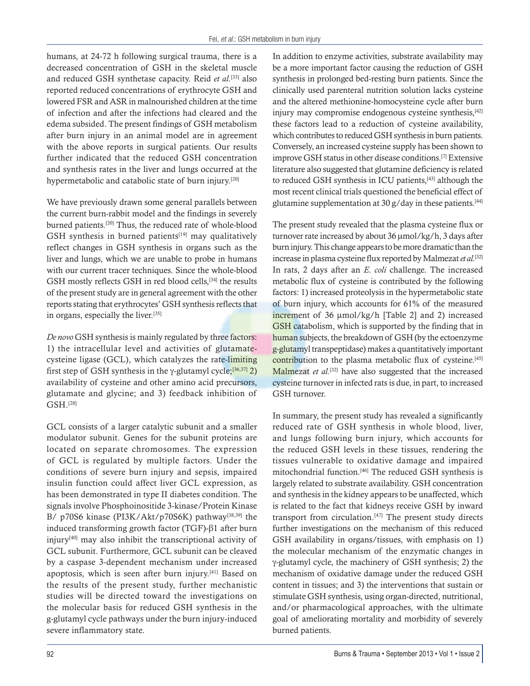humans, at 24-72 h following surgical trauma, there is a decreased concentration of GSH in the skeletal muscle and reduced GSH synthetase capacity. Reid *et al.*[33] also reported reduced concentrations of erythrocyte GSH and lowered FSR and ASR in malnourished children at the time of infection and after the infections had cleared and the edema subsided. The present findings of GSH metabolism after burn injury in an animal model are in agreement with the above reports in surgical patients. Our results further indicated that the reduced GSH concentration and synthesis rates in the liver and lungs occurred at the hypermetabolic and catabolic state of burn injury.<sup>[20]</sup>

We have previously drawn some general parallels between the current burn-rabbit model and the findings in severely burned patients.[20] Thus, the reduced rate of whole-blood GSH synthesis in burned patients $[19]$  may qualitatively reflect changes in GSH synthesis in organs such as the liver and lungs, which we are unable to probe in humans with our current tracer techniques. Since the whole-blood GSH mostly reflects GSH in red blood cells,<sup>[34]</sup> the results of the present study are in general agreement with the other reports stating that erythrocytes' GSH synthesis reflects that in organs, especially the liver.[35]

*De novo* GSH synthesis is mainly regulated by three factors: 1) the intracellular level and activities of glutamatecysteine ligase (GCL), which catalyzes the rate-limiting first step of GSH synthesis in the  $\gamma$ -glutamyl cycle;<sup>[36,37]</sup> 2) availability of cysteine and other amino acid precursors, glutamate and glycine; and 3) feedback inhibition of GSH.[28]

GCL consists of a larger catalytic subunit and a smaller modulator subunit. Genes for the subunit proteins are located on separate chromosomes. The expression of GCL is regulated by multiple factors. Under the conditions of severe burn injury and sepsis, impaired insulin function could affect liver GCL expression, as has been demonstrated in type II diabetes condition. The signals involve Phosphoinositide 3-kinase/Protein Kinase B/ p70S6 kinase (PI3K/Akt/p70S6K) pathway<sup>[38,39]</sup> the induced transforming growth factor (TGF)- $\beta$ 1 after burn injury[40] may also inhibit the transcriptional activity of GCL subunit. Furthermore, GCL subunit can be cleaved by a caspase 3-dependent mechanism under increased apoptosis, which is seen after burn injury.[41] Based on the results of the present study, further mechanistic studies will be directed toward the investigations on the molecular basis for reduced GSH synthesis in the g-glutamyl cycle pathways under the burn injury-induced severe inflammatory state.

In addition to enzyme activities, substrate availability may be a more important factor causing the reduction of GSH synthesis in prolonged bed-resting burn patients. Since the clinically used parenteral nutrition solution lacks cysteine and the altered methionine-homocysteine cycle after burn injury may compromise endogenous cysteine synthesis,<sup>[42]</sup> these factors lead to a reduction of cysteine availability, which contributes to reduced GSH synthesis in burn patients. Conversely, an increased cysteine supply has been shown to improve GSH status in other disease conditions.[7] Extensive literature also suggested that glutamine deficiency is related to reduced GSH synthesis in ICU patients,<sup>[43]</sup> although the most recent clinical trials questioned the beneficial effect of glutamine supplementation at 30 g/day in these patients.<sup>[44]</sup>

The present study revealed that the plasma cysteine flux or turnover rate increased by about 36  $\mu$ mol/kg/h, 3 days after burn injury. This change appears to be more dramatic than the increase in plasma cysteine flux reported by Malmezat *et al.*[32] In rats, 2 days after an *E. coli* challenge. The increased metabolic flux of cysteine is contributed by the following factors: 1) increased proteolysis in the hypermetabolic state of burn injury, which accounts for 61% of the measured increment of  $36 \mu \text{mol/kg/h}$  [Table 2] and 2) increased GSH catabolism, which is supported by the finding that in human subjects, the breakdown of GSH (by the ectoenzyme g-glutamyl transpeptidase) makes a quantitatively important contribution to the plasma metabolic flux of cysteine.<sup>[45]</sup> Malmezat *et al.*<sup>[32]</sup> have also suggested that the increased cysteine turnover in infected rats is due, in part, to increased GSH turnover.

In summary, the present study has revealed a significantly reduced rate of GSH synthesis in whole blood, liver, and lungs following burn injury, which accounts for the reduced GSH levels in these tissues, rendering the tissues vulnerable to oxidative damage and impaired mitochondrial function.[46] The reduced GSH synthesis is largely related to substrate availability. GSH concentration and synthesis in the kidney appears to be unaffected, which is related to the fact that kidneys receive GSH by inward transport from circulation.[47] The present study directs further investigations on the mechanism of this reduced GSH availability in organs/tissues, with emphasis on 1) the molecular mechanism of the enzymatic changes in  $\gamma$ -glutamyl cycle, the machinery of GSH synthesis; 2) the mechanism of oxidative damage under the reduced GSH content in tissues; and 3) the interventions that sustain or stimulate GSH synthesis, using organ-directed, nutritional, and/or pharmacological approaches, with the ultimate goal of ameliorating mortality and morbidity of severely burned patients.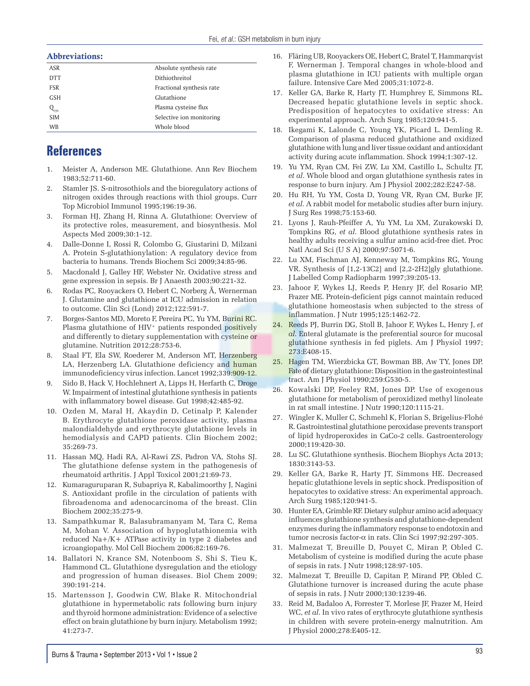#### Abbreviations:

| 1100101       |                           |
|---------------|---------------------------|
| ASR           | Absolute synthesis rate   |
| <b>DTT</b>    | Dithiothreitol            |
| <b>FSR</b>    | Fractional synthesis rate |
| <b>GSH</b>    | Glutathione               |
| $Q_{\rm cys}$ | Plasma cysteine flux      |
| <b>SIM</b>    | Selective ion monitoring  |
| WB            | Whole blood               |

## **References**

- 1. Meister A, Anderson ME. Glutathione. Ann Rev Biochem 1983;52:711-60.
- 2. Stamler JS. S-nitrosothiols and the bioregulatory actions of nitrogen oxides through reactions with thiol groups. Curr Top Microbiol Immunol 1995;196:19-36.
- 3. Forman HJ, Zhang H, Rinna A. Glutathione: Overview of its protective roles, measurement, and biosynthesis. Mol Aspects Med 2009;30:1-12.
- 4. Dalle-Donne I, Rossi R, Colombo G, Giustarini D, Milzani A. Protein S-glutathionylation: A regulatory device from bacteria to humans. Trends Biochem Sci 2009;34:85-96.
- 5. Macdonald J, Galley HF, Webster Nr. Oxidative stress and gene expression in sepsis. Br J Anaesth 2003;90:221-32.
- 6. Rodas PC, Rooyackers O, Hebert C, Norberg Å, Wernerman J. Glutamine and glutathione at ICU admission in relation to outcome. Clin Sci (Lond) 2012;122:591-7.
- 7. Borges-Santos MD, Moreto F, Pereira PC, Yu YM, Burini RC. Plasma glutathione of HIV<sup>+</sup> patients responded positively and differently to dietary supplementation with cysteine or glutamine. Nutrition 2012;28:753-6.
- 8. Staal FT, Ela SW, Roederer M, Anderson MT, Herzenberg LA, Herzenberg LA. Glutathione deficiency and human immunodeficiency virus infection. Lancet 1992;339:909-12.
- 9. Sido B, Hack V, Hochlehnert A, Lipps H, Herfarth C, Droge W. Impairment of intestinal glutathione synthesis in patients with inflammatory bowel disease. Gut 1998;42:485-92.
- 10. Ozden M, Maral H, Akaydin D, Cetinalp P, Kalender B. Erythrocyte glutathione peroxidase activity, plasma malondialdehyde and erythrocyte glutathione levels in hemodialysis and CAPD patients. Clin Biochem 2002; 35:269-73.
- 11. Hassan MQ, Hadi RA, Al-Rawi ZS, Padron VA, Stohs SJ. The glutathione defense system in the pathogenesis of rheumatoid arthritis. J Appl Toxicol 2001;21:69-73.
- 12. Kumaraguruparan R, Subapriya R, Kabalimoorthy J, Nagini S. Antioxidant profile in the circulation of patients with fibroadenoma and adenocarcinoma of the breast. Clin Biochem 2002;35:275-9.
- 13. Sampathkumar R, Balasubramanyam M, Tara C, Rema M, Mohan V. Association of hypoglutathionemia with reduced Na+/K+ ATPase activity in type 2 diabetes and icroangiopathy. Mol Cell Biochem 2006;82:169-76.
- 14. Ballatori N, Krance SM, Notenboom S, Shi S, Tieu K, Hammond CL. Glutathione dysregulation and the etiology and progression of human diseases. Biol Chem 2009; 390:191-214.
- 15. Martensson J, Goodwin CW, Blake R. Mitochondrial glutathione in hypermetabolic rats following burn injury and thyroid hormone administration: Evidence of a selective effect on brain glutathione by burn injury. Metabolism 1992; 41:273-7.
- 16. Fläring UB, Rooyackers OE, Hebert C, Bratel T, Hammarqvist F, Wernerman J. Temporal changes in whole-blood and plasma glutathione in ICU patients with multiple organ failure. Intensive Care Med 2005;31:1072-8.
- 17. Keller GA, Barke R, Harty JT, Humphrey E, Simmons RL. Decreased hepatic glutathione levels in septic shock. Predisposition of hepatocytes to oxidative stress: An experimental approach. Arch Surg 1985;120:941-5.
- 18. Ikegami K, Lalonde C, Young YK, Picard L. Demling R. Comparison of plasma reduced glutathione and oxidized glutathione with lung and liver tissue oxidant and antioxidant activity during acute inflammation. Shock 1994;1:307-12.
- 19. Yu YM, Ryan CM, Fei ZW, Lu XM, Castillo L, Schultz JT, *et al*. Whole blood and organ glutathione synthesis rates in response to burn injury. Am J Physiol 2002;282:E247-58.
- 20. Hu RH, Yu YM, Costa D, Young VR, Ryan CM, Burke JF, *et al*. A rabbit model for metabolic studies after burn injury. J Surg Res 1998;75:153-60.
- 21. Lyons J, Rauh-Pfeiffer A, Yu YM, Lu XM, Zurakowski D, Tompkins RG, *et al*. Blood glutathione synthesis rates in healthy adults receiving a sulfur amino acid-free diet. Proc Natl Acad Sci (U S A) 2000;97:5071-6.
- 22. Lu XM, Fischman AJ, Kenneway M, Tompkins RG, Young VR. Synthesis of [1,2-13C2] and [2,2-2H2]gly glutathione. J Labelled Comp Radiopharm 1997;39:205-13.
- 23. Jahoor F, Wykes LJ, Reeds P, Henry JF, del Rosario MP, Frazer ME. Protein-deficient pigs cannot maintain reduced glutathione homeostasis when subjected to the stress of inflammation. J Nutr 1995;125:1462-72.
- 24. Reeds PJ, Burrin DG, Stoll B, Jahoor F, Wykes L, Henry J, *et al.* Enteral glutamate is the preferential source for mucosal glutathione synthesis in fed piglets. Am J Physiol 1997; 273:E408-15.
- 25. Hagen TM, Wierzbicka GT, Bowman BB, Aw TY, Jones DP. Fate of dietary glutathione: Disposition in the gastrointestinal tract. Am J Physiol 1990;259:G530-5.
- 26. Kowalski DP, Feeley RM, Jones DP. Use of exogenous glutathione for metabolism of peroxidized methyl linoleate in rat small intestine. J Nutr 1990;120:1115-21.
- 27. Wingler K, Muller C, Schmehl K, Florian S, Brigelius-Flohé R. Gastrointestinal glutathione peroxidase prevents transport of lipid hydroperoxides in CaCo-2 cells. Gastroenterology 2000;119:420-30.
- 28. Lu SC. Glutathione synthesis. Biochem Biophys Acta 2013; 1830:3143-53.
- 29. Keller GA, Barke R, Harty JT, Simmons HE. Decreased hepatic glutathione levels in septic shock. Predisposition of hepatocytes to oxidative stress: An experimental approach. Arch Surg 1985;120:941-5.
- 30. Hunter EA, Grimble RF. Dietary sulphur amino acid adequacy influences glutathione synthesis and glutathione-dependent enzymes during the inflammatory response to endotoxin and tumor necrosis factor- $\alpha$  in rats. Clin Sci 1997;92:297-305.
- 31. Malmezat T, Breuille D, Pouyet C, Miran P, Obled C. Metabolism of cysteine is modified during the acute phase of sepsis in rats. J Nutr 1998;128:97-105.
- 32. Malmezat T, Breuille D, Capitan P, Mirand PP, Obled C. Glutathione turnover is increased during the acute phase of sepsis in rats. J Nutr 2000;130:1239-46.
- 33. Reid M, Badaloo A, Forrester T, Morlese JF, Frazer M, Heird WC, *et al*. In vivo rates of erythrocyte glutathione synthesis in children with severe protein-energy malnutrition. Am J Physiol 2000;278:E405-12.